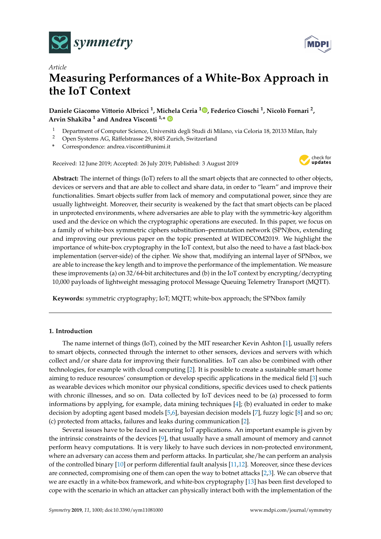



# *Article* **Measuring Performances of a White-Box Approach in the IoT Context**

**Daniele Giacomo Vittorio Albricci <sup>1</sup> , Michela Ceria [1](https://orcid.org/0000-0001-6059-9930) , Federico Cioschi <sup>1</sup> , Nicolò Fornari <sup>2</sup> , Arvin Shakiba <sup>1</sup> and Andrea Visconti 1,\***

- 1 Department of Computer Science, Università degli Studi di Milano, via Celoria 18, 20133 Milan, Italy<br>2 Open Systems AC Bäffelstrasse 29, 8045 Zurich Switzerland
- <sup>2</sup> Open Systems AG, Räffelstrasse 29, 8045 Zurich, Switzerland
- **\*** Correspondence: andrea.visconti@unimi.it

Received: 12 June 2019; Accepted: 26 July 2019; Published: 3 August 2019



**Abstract:** The internet of things (IoT) refers to all the smart objects that are connected to other objects, devices or servers and that are able to collect and share data, in order to "learn" and improve their functionalities. Smart objects suffer from lack of memory and computational power, since they are usually lightweight. Moreover, their security is weakened by the fact that smart objects can be placed in unprotected environments, where adversaries are able to play with the symmetric-key algorithm used and the device on which the cryptographic operations are executed. In this paper, we focus on a family of white-box symmetric ciphers substitution–permutation network (SPN)box, extending and improving our previous paper on the topic presented at WIDECOM2019. We highlight the importance of white-box cryptography in the IoT context, but also the need to have a fast black-box implementation (server-side) of the cipher. We show that, modifying an internal layer of SPNbox, we are able to increase the key length and to improve the performance of the implementation. We measure these improvements (a) on 32/64-bit architectures and (b) in the IoT context by encrypting/decrypting 10,000 payloads of lightweight messaging protocol Message Queuing Telemetry Transport (MQTT).

**Keywords:** symmetric cryptography; IoT; MQTT; white-box approach; the SPNbox family

## **1. Introduction**

The name internet of things (IoT), coined by the MIT researcher Kevin Ashton [\[1\]](#page-15-0), usually refers to smart objects, connected through the internet to other sensors, devices and servers with which collect and/or share data for improving their functionalities. IoT can also be combined with other technologies, for example with cloud computing [\[2\]](#page-15-1). It is possible to create a sustainable smart home aiming to reduce resources' consumption or develop specific applications in the medical field [\[3\]](#page-15-2) such as wearable devices which monitor our physical conditions, specific devices used to check patients with chronic illnesses, and so on. Data collected by IoT devices need to be (a) processed to form informations by applying, for example, data mining techniques [\[4\]](#page-15-3); (b) evaluated in order to make decision by adopting agent based models [\[5](#page-15-4)[,6\]](#page-15-5), bayesian decision models [\[7\]](#page-15-6), fuzzy logic [\[8\]](#page-15-7) and so on; (c) protected from attacks, failures and leaks during communication [\[2\]](#page-15-1).

Several issues have to be faced in securing IoT applications. An important example is given by the intrinsic constraints of the devices [\[9\]](#page-15-8), that usually have a small amount of memory and cannot perform heavy computations. It is very likely to have such devices in non-protected environment, where an adversary can access them and perform attacks. In particular, she/he can perform an analysis of the controlled binary [\[10\]](#page-15-9) or perform differential fault analysis [\[11](#page-15-10)[,12\]](#page-15-11). Moreover, since these devices are connected, compromising one of them can open the way to botnet attacks [\[2](#page-15-1)[,3\]](#page-15-2). We can observe that we are exactly in a white-box framework, and white-box cryptography [\[13\]](#page-15-12) has been first developed to cope with the scenario in which an attacker can physically interact both with the implementation of the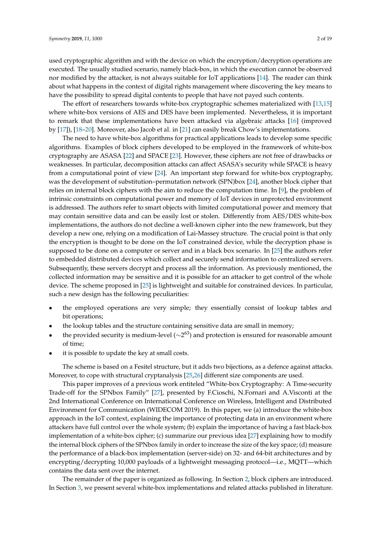used cryptographic algorithm and with the device on which the encryption/decryption operations are executed. The usually studied scenario, namely black-box, in which the execution cannot be observed nor modified by the attacker, is not always suitable for IoT applications [\[14\]](#page-15-13). The reader can think about what happens in the context of digital rights management where discovering the key means to have the possibility to spread digital contents to people that have not payed such contents.

The effort of researchers towards white-box cryptographic schemes materialized with [\[13](#page-15-12)[,15\]](#page-15-14) where white-box versions of AES and DES have been implemented. Nevertheless, it is important to remark that these implementations have been attacked via algebraic attacks [\[16\]](#page-15-15) (improved by [\[17\]](#page-15-16)), [\[18](#page-15-17)[–20\]](#page-16-0). Moreover, also Jacob et al. in [\[21\]](#page-16-1) can easily break Chow's implementations.

The need to have white-box algorithms for practical applications leads to develop some specific algorithms. Examples of block ciphers developed to be employed in the framework of white-box cryptography are ASASA [\[22\]](#page-16-2) and SPACE [\[23\]](#page-16-3). However, these ciphers are not free of drawbacks or weaknesses. In particular, decomposition attacks can affect ASASA's security while SPACE is heavy from a computational point of view [\[24\]](#page-16-4). An important step forward for white-box cryptography, was the development of substitution–permutation network (SPN)box [\[24\]](#page-16-4), another block cipher that relies on internal block ciphers with the aim to reduce the computation time. In [\[9\]](#page-15-8), the problem of intrinsic constraints on computational power and memory of IoT devices in unprotected environment is addressed. The authors refer to smart objects with limited computational power and memory that may contain sensitive data and can be easily lost or stolen. Differently from AES/DES white-box implementations, the authors do not decline a well-known cipher into the new framework, but they develop a new one, relying on a modification of Lai-Massey structure. The crucial point is that only the encryption is thought to be done on the IoT constrained device, while the decryption phase is supposed to be done on a computer or server and in a black box scenario. In [\[25\]](#page-16-5) the authors refer to embedded distributed devices which collect and securely send information to centralized servers. Subsequently, these servers decrypt and process all the information. As previously mentioned, the collected information may be sensitive and it is possible for an attacker to get control of the whole device. The scheme proposed in [\[25\]](#page-16-5) is lightweight and suitable for constrained devices. In particular, such a new design has the following peculiarities:

- the employed operations are very simple; they essentially consist of lookup tables and bit operations;
- the lookup tables and the structure containing sensitive data are small in memory;
- the provided security is medium-level ( $\sim$ 2<sup>63</sup>) and protection is ensured for reasonable amount of time;
- it is possible to update the key at small costs.

The scheme is based on a Fesitel structure, but it adds two bijections, as a defence against attacks. Moreover, to cope with structural cryptanalysis [\[25,](#page-16-5)[26\]](#page-16-6) different size components are used.

This paper improves of a previous work entiteled "White-box Cryptography: A Time-security Trade-off for the SPNbox Family" [\[27\]](#page-16-7), presented by F.Cioschi, N.Fornari and A.Visconti at the 2nd International Conference on International Conference on Wireless, Intelligent and Distributed Environment for Communication (WIDECOM 2019). In this paper, we (a) introduce the white-box approach in the IoT context, explaining the importance of protecting data in an environment where attackers have full control over the whole system; (b) explain the importance of having a fast black-box implementation of a white-box cipher; (c) summarize our previous idea [\[27\]](#page-16-7) explaining how to modify the internal block ciphers of the SPNbox family in order to increase the size of the key space; (d) measure the performance of a black-box implementation (server-side) on 32- and 64-bit architectures and by encrypting/decrypting 10,000 payloads of a lightweight messaging protocol—i.e., MQTT—which contains the data sent over the internet.

The remainder of the paper is organized as following. In Section [2,](#page-2-0) block ciphers are introduced. In Section [3,](#page-3-0) we present several white-box implementations and related attacks published in literature.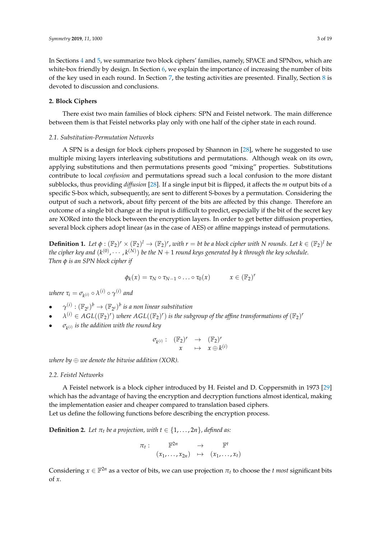In Sections [4](#page-5-0) and [5,](#page-6-0) we summarize two block ciphers' families, namely, SPACE and SPNbox, which are white-box friendly by design. In Section [6,](#page-8-0) we explain the importance of increasing the number of bits of the key used in each round. In Section [7,](#page-9-0) the testing activities are presented. Finally, Section [8](#page-14-0) is devoted to discussion and conclusions.

## <span id="page-2-0"></span>**2. Block Ciphers**

There exist two main families of block ciphers: SPN and Feistel network. The main difference between them is that Feistel networks play only with one half of the cipher state in each round.

## *2.1. Substitution-Permutation Networks*

A SPN is a design for block ciphers proposed by Shannon in [\[28\]](#page-16-8), where he suggested to use multiple mixing layers interleaving substitutions and permutations. Although weak on its own, applying substitutions and then permutations presents good "mixing" properties. Substitutions contribute to local *confusion* and permutations spread such a local confusion to the more distant subblocks, thus providing *diffusion* [\[28\]](#page-16-8). If a single input bit is flipped, it affects the *m* output bits of a specific S-box which, subsequently, are sent to different S-boxes by a permutation. Considering the output of such a network, about fifty percent of the bits are affected by this change. Therefore an outcome of a single bit change at the input is difficult to predict, especially if the bit of the secret key are XORed into the block between the encryption layers. In order to get better diffusion properties, several block ciphers adopt linear (as in the case of AES) or affine mappings instead of permutations.

**Definition 1.** Let  $\phi: (\mathbb{F}_2)^r \times (\mathbb{F}_2)^l \to (\mathbb{F}_2)^r$ , with  $r = bt$  be a block cipher with N rounds. Let  $k \in (\mathbb{F}_2)^l$  be the cipher key and  $(k^{(0)}, \cdots, k^{(N)})$  be the  $N+1$  round keys generated by k through the key schedule. *Then φ is an SPN block cipher if*

$$
\phi_k(x) = \tau_N \circ \tau_{N-1} \circ \ldots \circ \tau_0(x) \qquad x \in (\mathbb{F}_2)^r
$$

 $\nu$ *k*)  $\sigma_{k} = \sigma_{k}$ (*i*)  $\sigma_{k}$ (*i*)  $\sigma_{l}$  *o*<sub>1</sub>

- $\bullet$   $\gamma^{(i)} : (\mathbb{F}_{2^t})^b \to (\mathbb{F}_{2^t})^b$  *is a non linear substitution*
- $\lambda^{(i)} \in AGL((\mathbb{F}_2)^r)$  where  $AGL((\mathbb{F}_2)^r)$  is the subgroup of the affine transformations of  $(\mathbb{F}_2)^r$
- $\bullet$   $\quad \ \sigma_{k^{(i)}}$  *is the addition with the round key*

$$
\begin{array}{cccc} \sigma_{k^{(i)}}: & (\mathbb{F}_2)^r & \to & (\mathbb{F}_2)^r \\ & x & \mapsto & x \oplus k^{(i)} \end{array}
$$

*where by* ⊕ *we denote the bitwise addition (XOR).*

#### *2.2. Feistel Networks*

A Feistel network is a block cipher introduced by H. Feistel and D. Coppersmith in 1973 [\[29\]](#page-16-9) which has the advantage of having the encryption and decryption functions almost identical, making the implementation easier and cheaper compared to translation based ciphers. Let us define the following functions before describing the encryption process.

<span id="page-2-1"></span>**Definition 2.** *Let*  $\pi_t$  *be a projection, with*  $t \in \{1, \ldots, 2n\}$ *, defined as:* 

$$
\pi_t: \mathbb{F}^{2n} \to \mathbb{F}^t
$$

$$
(x_1, \ldots, x_{2n}) \mapsto (x_1, \ldots, x_t)
$$

Considering  $x \in \mathbb{F}^{2n}$  as a vector of bits, we can use projection  $\pi_t$  to choose the *t most* significant bits of *x*.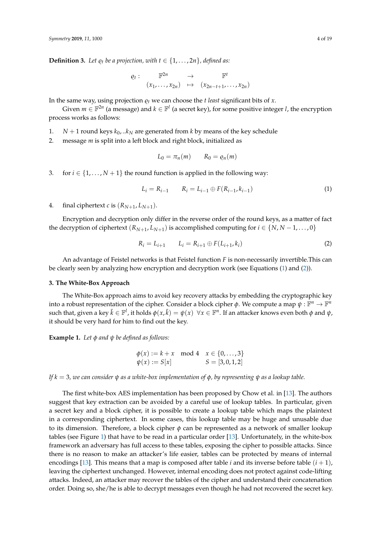**Definition 3.** *Let*  $\varrho_t$  *be a projection, with*  $t \in \{1, \ldots, 2n\}$ *, defined as:* 

$$
Q_t: \qquad \mathbb{F}^{2n} \qquad \to \qquad \mathbb{F}^t
$$

$$
(x_1, \ldots, x_{2n}) \qquad \mapsto \qquad (x_{2n-t+1}, \ldots, x_{2n})
$$

In the same way, using projection  $\rho_t$  we can choose the *t least* significant bits of *x*.

Given  $m \in \mathbb{F}^{2n}$  (a message) and  $k \in \mathbb{F}^l$  (a secret key), for some positive integer *l*, the encryption process works as follows:

- 1. *N* + 1 round keys  $k_0$ . .. $k_N$  are generated from *k* by means of the key schedule
- 2. message *m* is split into a left block and right block, initialized as

$$
L_0 = \pi_n(m) \qquad R_0 = \varrho_n(m)
$$

3. for  $i \in \{1, ..., N+1\}$  the round function is applied in the following way:

<span id="page-3-1"></span>
$$
L_i = R_{i-1} \qquad R_i = L_{i-1} \oplus F(R_{i-1}, k_{i-1}) \tag{1}
$$

4. final ciphertext *c* is  $(R_{N+1}, L_{N+1})$ .

Encryption and decryption only differ in the reverse order of the round keys, as a matter of fact the decryption of ciphertext  $(R_{N+1}, L_{N+1})$  is accomplished computing for  $i \in \{N, N-1, \ldots, 0\}$ 

<span id="page-3-2"></span>
$$
R_i = L_{i+1} \qquad L_i = R_{i+1} \oplus F(L_{i+1}, k_i)
$$
 (2)

An advantage of Feistel networks is that Feistel function *F* is non-necessarily invertible.This can be clearly seen by analyzing how encryption and decryption work (see Equations [\(1\)](#page-3-1) and [\(2\)](#page-3-2)).

## <span id="page-3-0"></span>**3. The White-Box Approach**

The White-Box approach aims to avoid key recovery attacks by embedding the cryptographic key into a robust representation of the cipher. Consider a block cipher  $\phi$ . We compute a map  $\psi : \mathbb{F}^n \to \mathbb{F}^n$ such that, given a key  $\bar k\in\mathbb F^l$ , it holds  $\phi(x,\bar k)=\psi(x)~~\forall x\in\mathbb F^n.$  If an attacker knows even both  $\phi$  and  $\psi$ , it should be very hard for him to find out the key.

**Example 1.** *Let φ and ψ be defined as follows:*

$$
\begin{array}{ll}\n\phi(x) := k + x \mod 4 & x \in \{0, \dots, 3\} \\
\psi(x) := S[x] & S = [3, 0, 1, 2]\n\end{array}
$$

*If*  $k = 3$ , we can consider  $\psi$  as a white-box implementation of  $\phi$ , by representing  $\psi$  as a lookup table.

The first white-box AES implementation has been proposed by Chow et al. in [\[13\]](#page-15-12). The authors suggest that key extraction can be avoided by a careful use of lookup tables. In particular, given a secret key and a block cipher, it is possible to create a lookup table which maps the plaintext in a corresponding ciphertext. In some cases, this lookup table may be huge and unusable due to its dimension. Therefore, a block cipher *φ* can be represented as a network of smaller lookup tables (see Figure [1\)](#page-4-0) that have to be read in a particular order [\[13\]](#page-15-12). Unfortunately, in the white-box framework an adversary has full access to these tables, exposing the cipher to possible attacks. Since there is no reason to make an attacker's life easier, tables can be protected by means of internal encodings [\[13\]](#page-15-12). This means that a map is composed after table *i* and its inverse before table  $(i + 1)$ , leaving the ciphertext unchanged. However, internal encoding does not protect against code-lifting attacks. Indeed, an attacker may recover the tables of the cipher and understand their concatenation order. Doing so, she/he is able to decrypt messages even though he had not recovered the secret key.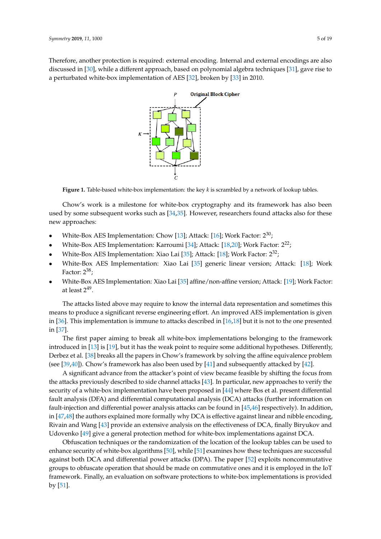<span id="page-4-0"></span>Therefore, another protection is required: external encoding. Internal and external encodings are also discussed in [\[30\]](#page-16-10), while a different approach, based on polynomial algebra techniques [\[31\]](#page-16-11), gave rise to a perturbated white-box implementation of AES [\[32\]](#page-16-12), broken by [\[33\]](#page-16-13) in 2010.



**Figure 1.** Table-based white-box implementation: the key *k* is scrambled by a network of lookup tables.

Chow's work is a milestone for white-box cryptography and its framework has also been used by some subsequent works such as [\[34,](#page-16-14)[35\]](#page-16-15). However, researchers found attacks also for these new approaches:

- White-Box AES Implementation: Chow [\[13\]](#page-15-12); Attack: [\[16\]](#page-15-15); Work Factor:  $2^{30}$ ;
- White-Box AES Implementation: Karroumi [\[34\]](#page-16-14); Attack: [\[18](#page-15-17)[,20\]](#page-16-0); Work Factor: 222;
- White-Box AES Implementation: Xiao Lai [\[35\]](#page-16-15); Attack: [\[18\]](#page-15-17); Work Factor: 232;
- White-Box AES Implementation: Xiao Lai [\[35\]](#page-16-15) generic linear version; Attack: [\[18\]](#page-15-17); Work Factor:  $2^{38}$ ;
- White-Box AES Implementation: Xiao Lai [\[35\]](#page-16-15) affine/non-affine version; Attack: [\[19\]](#page-16-16); Work Factor: at least  $2^{49}$ .

The attacks listed above may require to know the internal data representation and sometimes this means to produce a significant reverse engineering effort. An improved AES implementation is given in [\[36\]](#page-16-17). This implementation is immune to attacks described in  $[16,18]$  $[16,18]$  but it is not to the one presented in [\[37\]](#page-16-18).

The first paper aiming to break all white-box implementations belonging to the framework introduced in [\[13\]](#page-15-12) is [\[19\]](#page-16-16), but it has the weak point to require some additional hypotheses. Differently, Derbez et al. [\[38\]](#page-16-19) breaks all the papers in Chow's framework by solving the affine equivalence problem (see [\[39,](#page-17-0)[40\]](#page-17-1)). Chow's framework has also been used by [\[41\]](#page-17-2) and subsequently attacked by [\[42\]](#page-17-3).

A significant advance from the attacker's point of view became feasible by shifting the focus from the attacks previously described to side channel attacks [\[43\]](#page-17-4). In particular, new approaches to verify the security of a white-box implementation have been proposed in [\[44\]](#page-17-5) where Bos et al. present differential fault analysis (DFA) and differential computational analysis (DCA) attacks (further information on fault-injection and differential power analysis attacks can be found in [\[45,](#page-17-6)[46\]](#page-17-7) respectively). In addition, in [\[47](#page-17-8)[,48\]](#page-17-9) the authors explained more formally why DCA is effective against linear and nibble encoding, Rivain and Wang [\[43\]](#page-17-4) provide an extensive analysis on the effectiveness of DCA, finally Biryukov and Udovenko [\[49\]](#page-17-10) give a general protection method for white-box implementations against DCA.

Obfuscation techniques or the randomization of the location of the lookup tables can be used to enhance security of white-box algorithms [\[50\]](#page-17-11), while [\[51\]](#page-17-12) examines how these techniques are successful against both DCA and differential power attacks (DPA). The paper [\[52\]](#page-17-13) exploits noncommutative groups to obfuscate operation that should be made on commutative ones and it is employed in the IoT framework. Finally, an evaluation on software protections to white-box implementations is provided by [\[51\]](#page-17-12).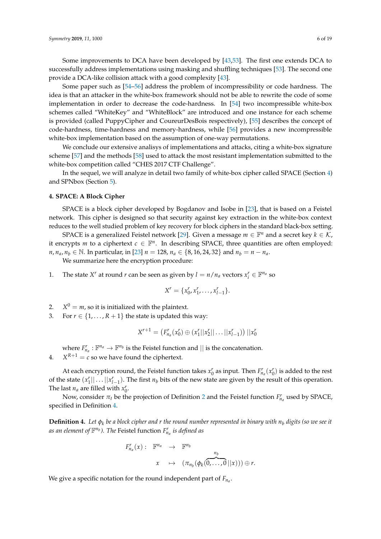Some improvements to DCA have been developed by [\[43](#page-17-4)[,53\]](#page-17-14). The first one extends DCA to successfully address implementations using masking and shuffling techniques [\[53\]](#page-17-14). The second one provide a DCA-like collision attack with a good complexity [\[43\]](#page-17-4).

Some paper such as [\[54](#page-17-15)[–56\]](#page-17-16) address the problem of incompressibility or code hardness. The idea is that an attacker in the white-box framework should not be able to rewrite the code of some implementation in order to decrease the code-hardness. In [\[54\]](#page-17-15) two incompressible white-box schemes called "WhiteKey" and "WhiteBlock" are introduced and one instance for each scheme is provided (called PuppyCipher and CoureurDesBois respectively), [\[55\]](#page-17-17) describes the concept of code-hardness, time-hardness and memory-hardness, while [\[56\]](#page-17-16) provides a new incompressible white-box implementation based on the assumption of one-way permutations.

We conclude our extensive analisys of implementations and attacks, citing a white-box signature scheme [\[57\]](#page-17-18) and the methods [\[58\]](#page-18-0) used to attack the most resistant implementation submitted to the white-box competition called "CHES 2017 CTF Challenge".

In the sequel, we will analyze in detail two family of white-box cipher called SPACE (Section [4\)](#page-5-0) and SPNbox (Section [5\)](#page-6-0).

#### <span id="page-5-0"></span>**4. SPACE: A Block Cipher**

SPACE is a block cipher developed by Bogdanov and Isobe in [\[23\]](#page-16-3), that is based on a Feistel network. This cipher is designed so that security against key extraction in the white-box context reduces to the well studied problem of key recovery for block ciphers in the standard black-box setting.

SPACE is a generalized Feistel network [\[29\]](#page-16-9). Given a message  $m \in \mathbb{F}^n$  and a secret key  $k \in \mathcal{K}$ , it encrypts *m* to a ciphertext  $c \in \mathbb{F}^n$ . In describing SPACE, three quantities are often employed: *n*, *n*<sub>*a*</sub>, *n*<sub>*b*</sub> ∈ N. In particular, in [\[23\]](#page-16-3) *n* = 128, *n*<sub>*a*</sub> ∈ {8, 16, 24, 32} and *n*<sub>*b*</sub> = *n* − *n*<sub>*a*</sub>.

We summarize here the encryption procedure:

1. The state *X<sup>r</sup>* at round *r* can be seen as given by  $l = n/n_a$  vectors  $x_i^r \in \mathbb{F}^{n_a}$  so

$$
X^r = \{x_0^r, x_1^r, \ldots, x_{l-1}^r\}.
$$

- 2.  $X^0 = m$ , so it is initialized with the plaintext.
- 3. For  $r \in \{1, \ldots, R+1\}$  the state is updated this way:

$$
X^{r+1} = (F_{n_a}^r(x_0^r) \oplus (x_1^r||x_2^r|| \dots ||x_{l-1}^r)) ||x_0^r
$$

where  $F_{n_a}^r : \mathbb{F}^{n_a} \to \mathbb{F}^{n_b}$  is the Feistel function and  $\vert \vert$  is the concatenation.

4.  $X^{R+1} = c$  so we have found the ciphertext.

At each encryption round, the Feistel function takes  $x_0^r$  as input. Then  $F_{n_a}^r(x_0^r)$  is added to the rest of the state  $(x_1^r \mid \mid \ldots \mid |x_{l-1}^r)$ . The first  $n_b$  bits of the new state are given by the result of this operation. The last  $n_a$  are filled with  $x_0^r$ .

Now, consider  $\pi_t$  be the projection of Definition [2](#page-2-1) and the Feistel function  $F_{n_a}^r$  used by SPACE, specified in Definition [4.](#page-5-1)

<span id="page-5-1"></span>**Definition 4.** *Let φ<sup>k</sup> be a block cipher and r the round number represented in binary with n<sup>b</sup> digits (so we see it* as an element of  $\mathbb{F}^{n_b}$ ). The Feistel function  $F^r_{n_a}$  is defined as

$$
F'_{n_a}(x): \mathbb{F}^{n_a} \rightarrow \mathbb{F}^{n_b}
$$

$$
x \rightarrow (\pi_{n_b}(\phi_k(\overbrace{0,\ldots,0}^{n_b}||x))) \oplus r.
$$

We give a specific notation for the round independent part of *Fn<sup>a</sup>* .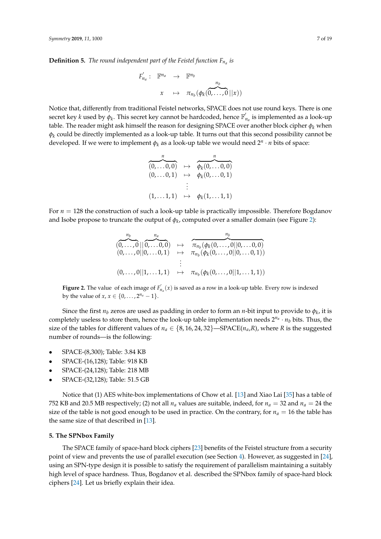**Definition 5.** *The round independent part of the Feistel function Fn<sup>a</sup> is*

$$
F'_{n_a}: \mathbb{F}^{n_a} \rightarrow \mathbb{F}^{n_b}
$$

$$
x \mapsto \pi_{n_b}(\phi_k(\overbrace{0,\ldots,0}^{n_b}||x))
$$

Notice that, differently from traditional Feistel networks, SPACE does not use round keys. There is one secret key *k* used by  $\phi_k$ . This secret key cannot be hardcoded, hence  $\mathbb{F}_p'$ *na* is implemented as a look-up table. The reader might ask himself the reason for designing SPACE over another block cipher *φ<sup>k</sup>* when  $\phi_k$  could be directly implemented as a look-up table. It turns out that this second possibility cannot be developed. If we were to implement *φ<sup>k</sup>* as a look-up table we would need 2*<sup>n</sup>* · *n* bits of space:

$$
\begin{array}{rcl}\n\overbrace{(0,\ldots0,0)}^{n} & \mapsto & \overbrace{\phi_k(0,\ldots0,0)}^{n} \\
(0,\ldots0,1) & \mapsto & \phi_k(0,\ldots0,1) \\
& \vdots \\
(1,\ldots1,1) & \mapsto & \phi_k(1,\ldots1,1)\n\end{array}
$$

<span id="page-6-1"></span>For *n* = 128 the construction of such a look-up table is practically impossible. Therefore Bogdanov and Isobe propose to truncate the output of  $\phi_k$ , computed over a smaller domain (see Figure [2\)](#page-6-1):

$$
(0,\ldots,0||0,\ldots,0,0) \rightarrow \pi_{n_b}(\phi_k(0,\ldots,0||0,\ldots,0,0))
$$
  
\n
$$
(0,\ldots,0||0,\ldots,0,1) \mapsto \pi_{n_b}(\phi_k(0,\ldots,0||0,\ldots,0,1))
$$
  
\n
$$
\vdots
$$
  
\n
$$
(0,\ldots,0||1,\ldots,1,1) \mapsto \pi_{n_b}(\phi_k(0,\ldots,0||1,\ldots,1,1))
$$

**Figure 2.** The value of each image of  $F'_{n_a}(x)$  is saved as a row in a look-up table. Every row is indexed by the value of *x*,  $x \in \{0, ..., 2^{n_a} - 1\}$ .

Since the first  $n_b$  zeros are used as padding in order to form an  $n$ -bit input to provide to  $\phi_k$ , it is completely useless to store them, hence the look-up table implementation needs  $2^{n_a} \cdot n_b$  bits. Thus, the size of the tables for different values of  $n_a \in \{8, 16, 24, 32\}$ —SPACE( $n_a, R$ ), where *R* is the suggested number of rounds—is the following:

- SPACE-(8,300); Table: 3.84 KB
- SPACE-(16,128); Table: 918 KB
- SPACE-(24,128); Table: 218 MB
- SPACE-(32,128); Table: 51.5 GB

Notice that (1) AES white-box implementations of Chow et al. [\[13\]](#page-15-12) and Xiao Lai [\[35\]](#page-16-15) has a table of 752 KB and 20.5 MB respectively; (2) not all  $n_a$  values are suitable, indeed, for  $n_a = 32$  and  $n_a = 24$  the size of the table is not good enough to be used in practice. On the contrary, for  $n_a = 16$  the table has the same size of that described in [\[13\]](#page-15-12).

#### <span id="page-6-0"></span>**5. The SPNbox Family**

The SPACE family of space-hard block ciphers [\[23\]](#page-16-3) benefits of the Feistel structure from a security point of view and prevents the use of parallel execution (see Section [4\)](#page-5-0). However, as suggested in [\[24\]](#page-16-4), using an SPN-type design it is possible to satisfy the requirement of parallelism maintaining a suitably high level of space hardness. Thus, Bogdanov et al. described the SPNbox family of space-hard block ciphers [\[24\]](#page-16-4). Let us briefly explain their idea.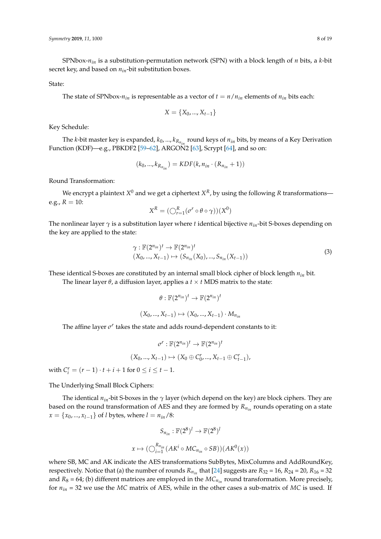SPNbox-*nin* is a substitution-permutation network (SPN) with a block length of *n* bits, a *k*-bit secret key, and based on *nin*-bit substitution boxes.

#### State:

The state of SPNbox- $n_{in}$  is representable as a vector of  $t = n/n_{in}$  elements of  $n_{in}$  bits each:

$$
X = \{X_0, ..., X_{t-1}\}
$$

Key Schedule:

The *k*-bit master key is expanded,  $k_0$ , ...,  $k_{R_{n_{in}}}$  round keys of  $n_{in}$  bits, by means of a Key Derivation Function (KDF)—e.g., PBKDF2 [\[59–](#page-18-1)[62\]](#page-18-2), ARGON2 [\[63\]](#page-18-3), Scrypt [\[64\]](#page-18-4), and so on:

$$
(k_0, ..., k_{R_{n_{in}}}) = KDF(k, n_{in} \cdot (R_{n_{in}} + 1))
$$

Round Transformation:

We encrypt a plaintext  $X^0$  and we get a ciphertext  $X^R$ , by using the following  $R$  transformations e.g.,  $R = 10$ :

$$
X^R = (\bigcirc_{r=1}^R (\sigma^r \circ \theta \circ \gamma))(X^0)
$$

The nonlinear layer *γ* is a substitution layer where *t* identical bijective *nin*-bit S-boxes depending on the key are applied to the state:

$$
\gamma: \mathbb{F}(2^{n_{in}})^t \to \mathbb{F}(2^{n_{in}})^t (X_0, ..., X_{t-1}) \mapsto (S_{n_{in}}(X_0), ..., S_{n_{in}}(X_{t-1}))
$$
\n(3)

These identical S-boxes are constituted by an internal small block cipher of block length *nin* bit.

The linear layer  $\theta$ , a diffusion layer, applies a  $t \times t$  MDS matrix to the state:

$$
\theta : \mathbb{F}(2^{n_{in}})^t \to \mathbb{F}(2^{n_{in}})^t
$$

$$
(X_0, ..., X_{t-1}) \mapsto (X_0, ..., X_{t-1}) \cdot M_{n_{in}}
$$

The affine layer *σ<sup>r</sup>* takes the state and adds round-dependent constants to it:

$$
\sigma^r : \mathbb{F}(2^{n_{in}})^t \to \mathbb{F}(2^{n_{in}})^t
$$

$$
(X_0, ..., X_{t-1}) \mapsto (X_0 \oplus C_0^r, ..., X_{t-1} \oplus C_{t-1}^r),
$$

with  $C_i^r = (r - 1) \cdot t + i + 1$  for  $0 \le i \le t - 1$ .

The Underlying Small Block Ciphers:

The identical  $n_{in}$ -bit S-boxes in the  $\gamma$  layer (which depend on the key) are block ciphers. They are based on the round transformation of AES and they are formed by *Rnin* rounds operating on a state  $x = \{x_0, ..., x_{l-1}\}\$  of *l* bytes, where  $l = n_{in}/8$ :

$$
S_{n_{in}} : \mathbb{F}(2^8)^l \to \mathbb{F}(2^8)^l
$$

$$
x \mapsto (\bigcirc_{i=1}^{R_{n_{in}}}(AK^i \circ MC_{n_{in}} \circ SB))(AK^0(x))
$$

where SB, MC and AK indicate the AES transformations SubBytes, MixColumns and AddRoundKey, respectively. Notice that (a) the number of rounds  $R_{n_{in}}$  that [\[24\]](#page-16-4) suggests are  $R_{32} = 16$ ,  $R_{24} = 20$ ,  $R_{16} = 32$ and  $R_8 = 64$ ; (b) different matrices are employed in the  $MC_{n_{in}}$  round transformation. More precisely, for *nin* = 32 we use the *MC* matrix of AES, while in the other cases a sub-matrix of *MC* is used. If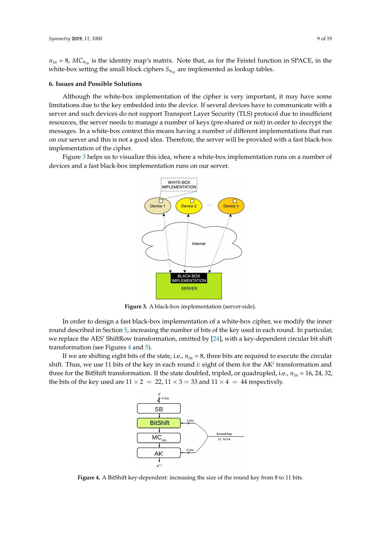$n_{in}$  = 8,  $MC_{n_{in}}$  is the identity map's matrix. Note that, as for the Feistel function in SPACE, in the white-box setting the small block ciphers  $S_{n_{in}}$  are implemented as lookup tables.

#### <span id="page-8-0"></span>**6. Issues and Possible Solutions**

Although the white-box implementation of the cipher is very important, it may have some limitations due to the key embedded into the device. If several devices have to communicate with a server and such devices do not support Transport Layer Security (TLS) protocol due to insufficient resources, the server needs to manage a number of keys (pre-shared or not) in order to decrypt the messages. In a white-box context this means having a number of different implementations that run on our server and this is not a good idea. Therefore, the server will be provided with a fast black-box implementation of the cipher.

<span id="page-8-1"></span>Figure [3](#page-8-1) helps us to visualize this idea, where a white-box implementation runs on a number of devices and a fast black-box implementation runs on our server.



**Figure 3.** A black-box implementation (server-side).

In order to design a fast black-box implementation of a white-box cipher, we modify the inner round described in Section [5,](#page-6-0) increasing the number of bits of the key used in each round. In particular, we replace the AES' ShiftRow transformation, omitted by [\[24\]](#page-16-4), with a key-dependent circular bit shift transformation (see Figures [4](#page-8-2) and [5\)](#page-9-1).

<span id="page-8-2"></span>If we are shifting eight bits of the state, i.e., *nin* = 8, three bits are required to execute the circular shift. Thus, we use 11 bits of the key in each round *i*: eight of them for the AK*<sup>i</sup>* transformation and three for the BitShift transformation. If the state doubled, tripled, or quadrupled, i.e., *nin* = 16, 24, 32, the bits of the key used are  $11 \times 2 = 22$ ,  $11 \times 3 = 33$  and  $11 \times 4 = 44$  respectively.



**Figure 4.** A BitShift key-dependent: increasing the size of the round key from 8 to 11 bits.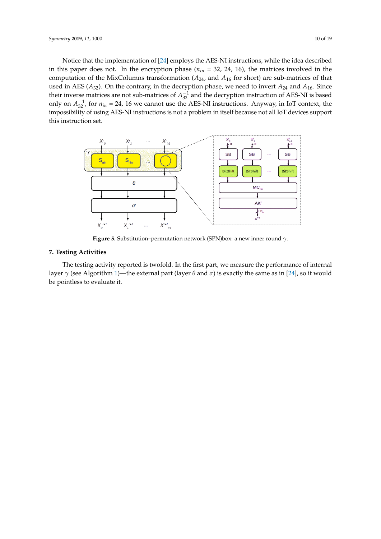Notice that the implementation of [\[24\]](#page-16-4) employs the AES-NI instructions, while the idea described in this paper does not. In the encryption phase (*nin* = 32, 24, 16), the matrices involved in the computation of the MixColumns transformation (*A*24, and *A*<sup>16</sup> for short) are sub-matrices of that used in AES ( $A_{32}$ ). On the contrary, in the decryption phase, we need to invert  $A_{24}$  and  $A_{16}$ . Since their inverse matrices are not sub-matrices of  $A_{32}^{-1}$  and the decryption instruction of AES-NI is based only on  $A_{32}^{-1}$ , for  $n_{in} = 24$ , 16 we cannot use the AES-NI instructions. Anyway, in IoT context, the impossibility of using AES-NI instructions is not a problem in itself because not all IoT devices support this instruction set.

<span id="page-9-1"></span>

**Figure 5.** Substitution–permutation network (SPN)box: a new inner round *γ*.

# <span id="page-9-0"></span>**7. Testing Activities**

The testing activity reported is twofold. In the first part, we measure the performance of internal layer *γ* (see Algorithm [1\)](#page-10-0)—the external part (layer *θ* and *σ*) is exactly the same as in [\[24\]](#page-16-4), so it would be pointless to evaluate it.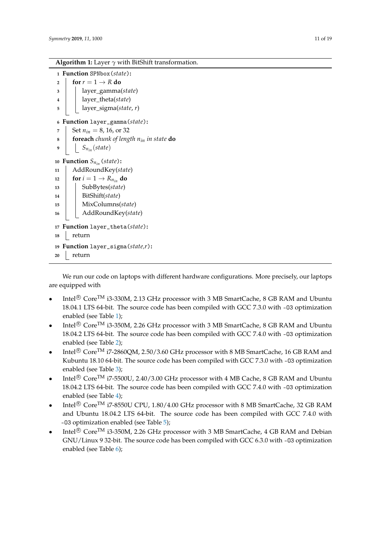```
Algorithm 1: Layer γ with BitShift transformation.
```

```
1 Function SPNbox(state):
2 for r = 1 \rightarrow R do
3 layer_gamma(state)
4 layer_theta(state)
5 layer_sigma(state, r)
6 Function layer_gamma(state):
7 Set n_{in} = 8, 16, or 32
8 foreach chunk of length nin in state do
9 Snin (state)
10 Function S_{n_{in}} (state):
11 AddRoundKey(state)
12 for i = 1 \rightarrow R_{n_{in}} do
13 SubBytes(state)
14 BitShift(state)
15 MixColumns(state)
16 AddRoundKey(state)
17 Function layer_theta(state):
18 return
19 Function layer_sigma(state,r):
20 return
```
<span id="page-10-0"></span>We run our code on laptops with different hardware configurations. More precisely, our laptops are equipped with

- Intel<sup>®</sup> Core<sup>TM</sup> i3-330M, 2.13 GHz processor with 3 MB SmartCache, 8 GB RAM and Ubuntu 18.04.1 LTS 64-bit. The source code has been compiled with GCC 7.3.0 with -O3 optimization enabled (see Table [1\)](#page-11-0);
- Intel<sup>®</sup> Core<sup>TM</sup> i3-350M, 2.26 GHz processor with 3 MB SmartCache, 8 GB RAM and Ubuntu 18.04.2 LTS 64-bit. The source code has been compiled with GCC 7.4.0 with -03 optimization enabled (see Table [2\)](#page-11-1);
- Intel<sup>®</sup> Core<sup>TM</sup> i7-2860QM, 2.50/3.60 GHz processor with 8 MB SmartCache, 16 GB RAM and Kubuntu 18.10 64-bit. The source code has been compiled with GCC 7.3.0 with -O3 optimization enabled (see Table [3\)](#page-11-2);
- Intel $\mathbb{R}$  Core<sup>TM</sup> i7-5500U, 2.40/3.00 GHz processor with 4 MB Cache, 8 GB RAM and Ubuntu 18.04.2 LTS 64-bit. The source code has been compiled with GCC 7.4.0 with -O3 optimization enabled (see Table [4\)](#page-11-3);
- Intel<sup>®</sup> Core<sup>TM</sup> i7-8550U CPU, 1.80/4.00 GHz processor with 8 MB SmartCache, 32 GB RAM and Ubuntu 18.04.2 LTS 64-bit. The source code has been compiled with GCC 7.4.0 with -O3 optimization enabled (see Table [5\)](#page-11-4);
- Intel<sup>®</sup> Core<sup>TM</sup> i3-350M, 2.26 GHz processor with 3 MB SmartCache, 4 GB RAM and Debian GNU/Linux 9 32-bit. The source code has been compiled with GCC 6.3.0 with -O3 optimization enabled (see Table [6\)](#page-12-0);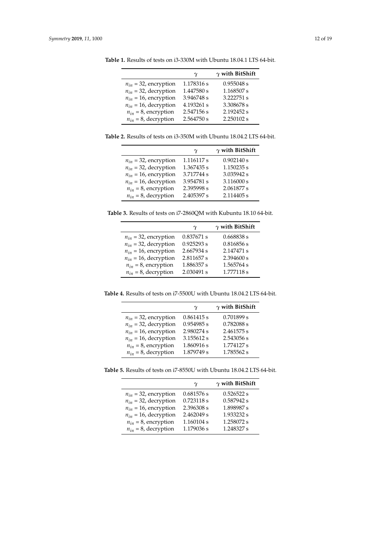|                           | γ          | $\gamma$ with BitShift |
|---------------------------|------------|------------------------|
| $n_{in}$ = 32, encryption | 1.178316 s | 0.955048 s             |
| $n_{in}$ = 32, decryption | 1.447580 s | 1.168507 s             |
| $n_{in}$ = 16, encryption | 3.946748 s | 3.222751 s             |
| $n_{in}$ = 16, decryption | 4.193261 s | 3.308678 s             |
| $n_{in} = 8$ , encryption | 2.547156 s | 2.192452 s             |
| $n_{in} = 8$ , decryption | 2.564750 s | 2.250102 s             |

<span id="page-11-0"></span>**Table 1.** Results of tests on i3-330M with Ubuntu 18.04.1 LTS 64-bit.

<span id="page-11-1"></span>**Table 2.** Results of tests on i3-350M with Ubuntu 18.04.2 LTS 64-bit.

|                           | γ          | $\gamma$ with BitShift |
|---------------------------|------------|------------------------|
| $n_{in}$ = 32, encryption | 1.116117 s | 0.902140 s             |
| $n_{in}$ = 32, decryption | 1.367435 s | 1.150235 s             |
| $n_{in}$ = 16, encryption | 3.717744 s | 3.035942 s             |
| $n_{in}$ = 16, decryption | 3.954781 s | 3.116000 s             |
| $n_{in} = 8$ , encryption | 2.395998 s | 2.061877 s             |
| $n_{in} = 8$ , decryption | 2.405397 s | 2.114405 s             |

<span id="page-11-2"></span>**Table 3.** Results of tests on i7-2860QM with Kubuntu 18.10 64-bit.

|                           | γ            | $\gamma$ with BitShift |
|---------------------------|--------------|------------------------|
| $n_{in}$ = 32, encryption | $0.837671$ s | $0.668838$ s           |
| $n_{in}$ = 32, decryption | 0.925293 s   | $0.816856$ s           |
| $n_{in}$ = 16, encryption | 2.667934 s   | 2.147471 s             |
| $n_{in}$ = 16, decryption | 2.811657 s   | 2.394600 s             |
| $n_{in} = 8$ , encryption | 1.886357 s   | 1.565764 s             |
| $n_{in} = 8$ , decryption | 2.030491 s   | 1.777118 s             |

<span id="page-11-3"></span>**Table 4.** Results of tests on i7-5500U with Ubuntu 18.04.2 LTS 64-bit.

|                           | $\gamma$     | $\gamma$ with BitShift |
|---------------------------|--------------|------------------------|
| $n_{in}$ = 32, encryption | 0.861415 s   | 0.701899 s             |
| $n_{in}$ = 32, decryption | $0.954985$ s | 0.782088 s             |
| $n_{in}$ = 16, encryption | 2.980274 s   | 2.461575 s             |
| $n_{in}$ = 16, decryption | 3.155612 s   | 2.543056 s             |
| $n_{in} = 8$ , encryption | 1.860916 s   | 1.774127 s             |
| $n_{in} = 8$ , decryption | 1.879749 s   | 1.785562 s             |

<span id="page-11-4"></span>**Table 5.** Results of tests on i7-8550U with Ubuntu 18.04.2 LTS 64-bit.

| $\gamma$ with BitShift<br>$\gamma$ |                           |
|------------------------------------|---------------------------|
| 0.526522 s<br>0.681576 s           | $n_{in}$ = 32, encryption |
| 0.723118 s<br>0.587942 s           | $n_{in}$ = 32, decryption |
| 1.898987 s<br>2.396308 s           | $n_{in}$ = 16, encryption |
| 1.933232 s<br>2.462049 s           | $n_{in}$ = 16, decryption |
| 1.258072 s<br>1.160104 s           | $n_{in} = 8$ , encryption |
| 1.248327 s<br>1.179036 s           | $n_{in} = 8$ , decryption |
|                                    |                           |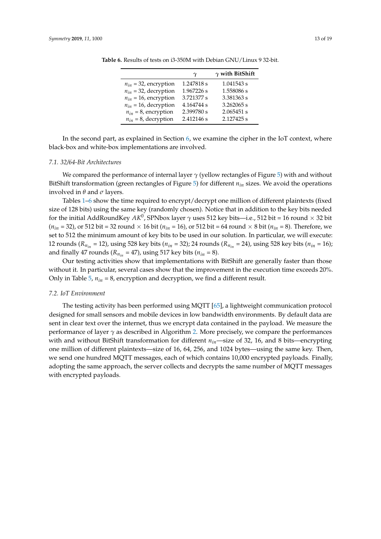|                           | $\gamma$   | $\gamma$ with BitShift |
|---------------------------|------------|------------------------|
| $n_{in}$ = 32, encryption | 1.247818 s | 1.041543 s             |
| $n_{in}$ = 32, decryption | 1.967226 s | 1.558086 s             |
| $n_{in}$ = 16, encryption | 3.721377 s | 3.381363 s             |
| $n_{in}$ = 16, decryption | 4.164744 s | 3.262065 s             |
| $n_{in} = 8$ , encryption | 2.399780 s | 2.065451 s             |
| $n_{in} = 8$ , decryption | 2.412146 s | 2.127425 s             |

<span id="page-12-0"></span>**Table 6.** Results of tests on i3-350M with Debian GNU/Linux 9 32-bit.

In the second part, as explained in Section [6,](#page-8-0) we examine the cipher in the IoT context, where black-box and white-box implementations are involved.

#### *7.1. 32/64-Bit Architectures*

We compared the performance of internal layer *γ* (yellow rectangles of Figure [5\)](#page-9-1) with and without BitShift transformation (green rectangles of Figure [5\)](#page-9-1) for different *nin* sizes. We avoid the operations involved in *θ* and *σ* layers.

Tables [1](#page-11-0)[–6](#page-12-0) show the time required to encrypt/decrypt one million of different plaintexts (fixed size of 128 bits) using the same key (randomly chosen). Notice that in addition to the key bits needed for the initial AddRoundKey *AK*<sup>0</sup> , SPNbox layer *γ* uses 512 key bits—i.e., 512 bit = 16 round × 32 bit  $(n_{in} = 32)$ , or 512 bit = 32 round  $\times$  16 bit ( $n_{in} = 16$ ), or 512 bit = 64 round  $\times$  8 bit ( $n_{in} = 8$ ). Therefore, we set to 512 the minimum amount of key bits to be used in our solution. In particular, we will execute: 12 rounds ( $R_{n_{in}}$  = 12), using 528 key bits ( $n_{in}$  = 32); 24 rounds ( $R_{n_{in}}$  = 24), using 528 key bits ( $n_{in}$  = 16); and finally 47 rounds ( $R_{n_{in}}$  = 47), using 517 key bits ( $n_{in}$  = 8).

Our testing activities show that implementations with BitShift are generally faster than those without it. In particular, several cases show that the improvement in the execution time exceeds 20%. Only in Table [5,](#page-11-4) *nin* = 8, encryption and decryption, we find a different result.

## *7.2. IoT Environment*

The testing activity has been performed using MQTT [\[65\]](#page-18-5), a lightweight communication protocol designed for small sensors and mobile devices in low bandwidth environments. By default data are sent in clear text over the internet, thus we encrypt data contained in the payload. We measure the performance of layer *γ* as described in Algorithm [2.](#page-13-0) More precisely, we compare the performances with and without BitShift transformation for different *nin*—size of 32, 16, and 8 bits—encrypting one million of different plaintexts—size of 16, 64, 256, and 1024 bytes—using the same key. Then, we send one hundred MQTT messages, each of which contains 10,000 encrypted payloads. Finally, adopting the same approach, the server collects and decrypts the same number of MQTT messages with encrypted payloads.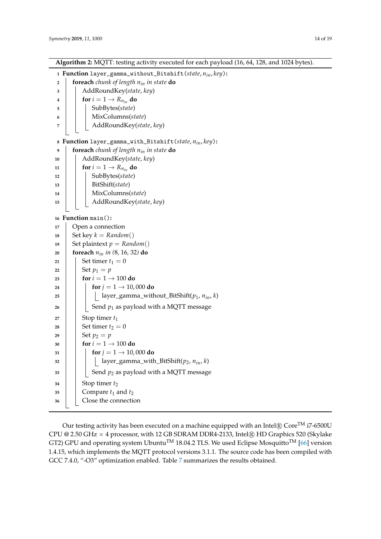**Algorithm 2:** MQTT: testing activity executed for each payload (16, 64, 128, and 1024 bytes).

 **Function** layer\_gamma\_without\_Bitshift(*state*, *nin*, *key*)**: foreach** *chunk of length nin in state* **do** AddRoundKey(*state*, *key*) **for**  $i = 1 \rightarrow R_{n_{in}}$  **do**  SubBytes(*state*) MixColumns(*state*) AddRoundKey(*state*, *key*) **Function** layer\_gamma\_with\_Bitshift(*state*, *nin*, *key*)**: foreach** *chunk of length nin in state* **do** AddRoundKey(*state*, *key*) **for**  $i = 1 \rightarrow R_{n_{in}}$  **do** 12 | SubBytes(*state*) BitShift(*state*) MixColumns(*state*) AddRoundKey(*state*, *key*) **Function** main()**:** Open a connection 18 | Set key  $k = Random()$  Set plaintext  $p = Random()$  **foreach** *nin in (*8*,* 16*,* 32*)* **do** | Set timer  $t_1 = 0$ 22 | Set  $p_1 = p$  **for**  $i = 1 \rightarrow 100$  **do for**  $j = 1 \rightarrow 10,000$  **do** 25 | | | |  $\lbrack$  | ayer\_gamma\_without\_BitShift( $p_1$ ,  $n_{in}$ , *k*)  $\vert$   $\vert$  Send  $p_1$  as payload with a MQTT message Stop timer  $t_1$  | Set timer  $t_2 = 0$ 29 | Set  $p_2 = p$  **for**  $i = 1 \rightarrow 100$  **do for**  $j = 1 \rightarrow 10,000$  **do**  | | | layer\_gamma\_with\_BitShift( $p_2$ ,  $n_{in}$ , *k*)  $\parallel$   $\parallel$  Send  $p_2$  as payload with a MQTT message | Stop timer  $t_2$  Compare  $t_1$  and  $t_2$ Close the connection

<span id="page-13-0"></span>Our testing activity has been executed on a machine equipped with an Intel $\mathbb R$  Core<sup>TM</sup> i7-6500U CPU @ 2.50 GHz  $\times$  4 processor, with 12 GB SDRAM DDR4-2133, Intel® HD Graphics 520 (Skylake GT2) GPU and operating system Ubuntu<sup>TM</sup> 18.04.2 TLS. We used Eclipse Mosquitto<sup>TM</sup> [\[66\]](#page-18-6) version 1.4.15, which implements the MQTT protocol versions 3.1.1. The source code has been compiled with GCC [7](#page-14-1).4.0, "-O3" optimization enabled. Table 7 summarizes the results obtained.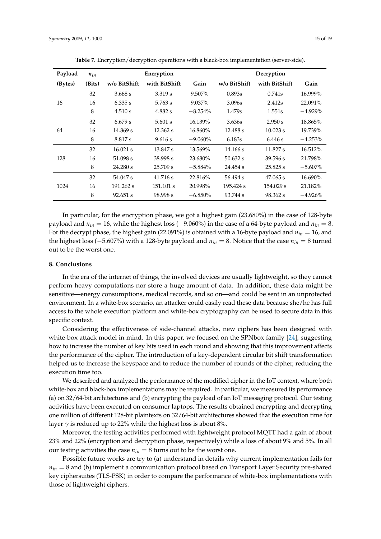<span id="page-14-1"></span>

| Payload | $n_{in}$ | Encryption   |               | Decryption |              |               |            |
|---------|----------|--------------|---------------|------------|--------------|---------------|------------|
| (Bytes) | (Bits)   | w/o BitShift | with BitShift | Gain       | w/o BitShift | with BitShift | Gain       |
|         | 32       | 3.668 s      | 3.319 s       | 9.507%     | 0.893s       | 0.741s        | 16.999%    |
| 16      | 16       | 6.335 s      | 5.763 s       | 9.037%     | 3.096s       | 2.412s        | 22.091%    |
|         | 8        | 4.510 s      | 4.882 s       | $-8.254\%$ | 1.479s       | 1.551s        | $-4.929%$  |
|         | 32       | 6.679 s      | 5.601 s       | 16.139%    | 3.636s       | 2.950 s       | 18.865%    |
| 64      | 16       | 14.869 s     | 12.362 s      | 16.860%    | 12.488 s     | 10.023 s      | 19.739%    |
|         | 8        | 8.817 s      | 9.616 s       | $-9.060\%$ | 6.183s       | 6.446 s       | $-4.253%$  |
|         | 32       | $16.021$ s   | 13.847 s      | 13.569%    | 14.166 s     | 11.827 s      | 16.512%    |
| 128     | 16       | 51.098 s     | 38.998 s      | 23.680%    | $50.632$ s   | 39.596 s      | 21.798%    |
|         | 8        | 24.280 s     | 25.709 s      | $-5.884\%$ | 24.454 s     | 25.825 s      | $-5.607\%$ |
|         | 32       | 54.047 s     | 41.716 s      | 22.816%    | 56.494 s     | $47.065$ s    | 16.690%    |
| 1024    | 16       | 191.262 s    | 151.101 s     | 20.998%    | 195.424 s    | 154.029 s     | 21.182%    |
|         | 8        | 92.651 s     | 98.998 s      | $-6.850\%$ | 93.744 s     | 98.362 s      | $-4.926%$  |

**Table 7.** Encryption/decryption operations with a black-box implementation (server-side).

In particular, for the encryption phase, we got a highest gain (23.680%) in the case of 128-byte payload and *nin* = 16, while the highest loss (−9.060%) in the case of a 64-byte payload and *nin* = 8. For the decrypt phase, the highest gain (22.091%) is obtained with a 16-byte payload and *nin* = 16, and the highest loss (−5.607%) with a 128-byte payload and *nin* = 8. Notice that the case *nin* = 8 turned out to be the worst one.

# <span id="page-14-0"></span>**8. Conclusions**

In the era of the internet of things, the involved devices are usually lightweight, so they cannot perform heavy computations nor store a huge amount of data. In addition, these data might be sensitive—energy consumptions, medical records, and so on—and could be sent in an unprotected environment. In a white-box scenario, an attacker could easily read these data because she/he has full access to the whole execution platform and white-box cryptography can be used to secure data in this specific context.

Considering the effectiveness of side-channel attacks, new ciphers has been designed with white-box attack model in mind. In this paper, we focused on the SPNbox family [\[24\]](#page-16-4), suggesting how to increase the number of key bits used in each round and showing that this improvement affects the performance of the cipher. The introduction of a key-dependent circular bit shift transformation helped us to increase the keyspace and to reduce the number of rounds of the cipher, reducing the execution time too.

We described and analyzed the performance of the modified cipher in the IoT context, where both white-box and black-box implementations may be required. In particular, we measured its performance (a) on 32/64-bit architectures and (b) encrypting the payload of an IoT messaging protocol. Our testing activities have been executed on consumer laptops. The results obtained encrypting and decrypting one million of different 128-bit plaintexts on 32/64-bit architectures showed that the execution time for layer  $\gamma$  is reduced up to 22% while the highest loss is about 8%.

Moreover, the testing activities performed with lightweight protocol MQTT had a gain of about 23% and 22% (encryption and decryption phase, respectively) while a loss of about 9% and 5%. In all our testing activities the case  $n_{in} = 8$  turns out to be the worst one.

Possible future works are try to (a) understand in details why current implementation fails for  $n_{in}$  = 8 and (b) implement a communication protocol based on Transport Layer Security pre-shared key ciphersuites (TLS-PSK) in order to compare the performance of white-box implementations with those of lightweight ciphers.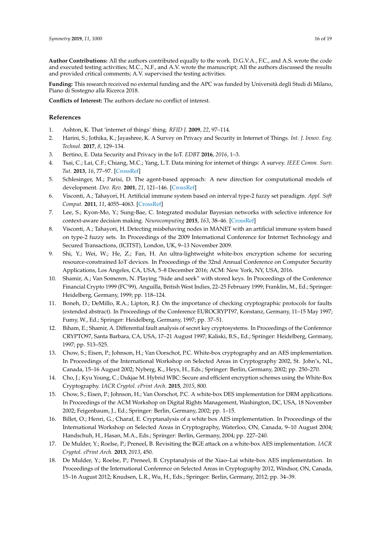**Author Contributions:** All the authors contributed equally to the work. D.G.V.A., F.C., and A.S. wrote the code and executed testing activities; M.C., N.F., and A.V. wrote the manuscript; All the authors discussed the results and provided critical comments; A.V. supervised the testing activities.

**Funding:** This research received no external funding and the APC was funded by Università degli Studi di Milano, Piano di Sostegno alla Ricerca 2018.

**Conflicts of Interest:** The authors declare no conflict of interest.

## **References**

- <span id="page-15-0"></span>1. Ashton, K. That 'internet of things' thing. *RFID J.* **2009**, *22*, 97–114.
- <span id="page-15-1"></span>2. Harini, S.; Jothika, K.; Jayashree, K. A Survey on Privacy and Security in Internet of Things. *Int. J. Innov. Eng. Technol.* **2017**, *8*, 129–134.
- <span id="page-15-2"></span>3. Bertino, E. Data Security and Privacy in the IoT. *EDBT* **2016**, *2016*, 1–3.
- <span id="page-15-3"></span>4. Tsai, C.; Lai, C.F.; Chiang, M.C.; Yang, L.T. Data mining for internet of things: A survey. *IEEE Comm. Surv. Tut.* **2013**, *16*, 77–97. [\[CrossRef\]](http://dx.doi.org/10.1109/SURV.2013.103013.00206)
- <span id="page-15-4"></span>5. Schlesinger, M.; Parisi, D. The agent-based approach: A new direction for computational models of development. *Dev. Rev.* **2001**, *21*, 121–146. [\[CrossRef\]](http://dx.doi.org/10.1006/drev.2000.0520)
- <span id="page-15-5"></span>6. Visconti, A.; Tahayori, H. Artificial immune system based on interval type-2 fuzzy set paradigm. *Appl. Soft Comput.* **2011**, *11*, 4055–4063. [\[CrossRef\]](http://dx.doi.org/10.1016/j.asoc.2010.12.011)
- <span id="page-15-6"></span>7. Lee, S.; Kyon-Mo, Y.; Sung-Bae, C. Integrated modular Bayesian networks with selective inference for context-aware decision making. *Neurocomputing* **2015**, *163*, 38–46. [\[CrossRef\]](http://dx.doi.org/10.1016/j.neucom.2014.08.089)
- <span id="page-15-7"></span>8. Visconti, A.; Tahayori, H. Detecting misbehaving nodes in MANET with an artificial immune system based on type-2 fuzzy sets. In Proceedings of the 2009 International Conference for Internet Technology and Secured Transactions, (ICITST), London, UK, 9–13 November 2009.
- <span id="page-15-8"></span>9. Shi, Y.; Wei, W.; He, Z.; Fan, H. An ultra-lightweight white-box encryption scheme for securing resource-constrained IoT devices. In Proceedings of the 32nd Annual Conference on Computer Security Applications, Los Angeles, CA, USA, 5–8 December 2016; ACM: New York, NY, USA, 2016.
- <span id="page-15-9"></span>10. Shamir, A.; Van Someren, N. Playing "hide and seek" with stored keys. In Proceedings of the Conference Financial Crypto 1999 (FC'99), Anguilla, British West Indies, 22–25 February 1999; Franklin, M., Ed.; Springer: Heidelberg, Germany, 1999; pp. 118–124.
- <span id="page-15-10"></span>11. Boneh, D.; DeMillo, R.A.; Lipton, R.J. On the importance of checking cryptographic protocols for faults (extended abstract). In Proceedings of the Conference EUROCRYPT97, Konstanz, Germany, 11–15 May 1997; Fumy, W., Ed.; Springer: Heidelberg, Germany, 1997; pp. 37–51.
- <span id="page-15-11"></span>12. Biham, E.; Shamir, A. Differential fault analysis of secret key cryptosystems. In Proceedings of the Conference CRYPTO97, Santa Barbara, CA, USA, 17–21 August 1997; Kaliski, B.S., Ed.; Springer: Heidelberg, Germany, 1997; pp. 513–525.
- <span id="page-15-12"></span>13. Chow, S.; Eisen, P.; Johnson, H.; Van Oorschot, P.C. White-box cryptography and an AES implementation. In Proceedings of the International Workshop on Selected Areas in Cryptography 2002, St. John's, NL, Canada, 15–16 August 2002; Nyberg, K., Heys, H., Eds.; Springer: Berlin, Germany, 2002; pp. 250–270.
- <span id="page-15-13"></span>14. Cho, J.; Kyu Young, C.; Dukjae M. Hybrid WBC: Secure and efficient encryption schemes using the White-Box Cryptography. *IACR Cryptol. ePrint Arch.* **2015**, *2015*, 800.
- <span id="page-15-14"></span>15. Chow, S.; Eisen, P.; Johnson, H.; Van Oorschot, P.C. A white-box DES implementation for DRM applications. In Proceedings of the ACM Workshop on Digital Rights Management, Washington, DC, USA, 18 November 2002; Feigenbaum, J., Ed.; Springer: Berlin, Germany, 2002; pp. 1–15.
- <span id="page-15-15"></span>16. Billet, O.; Henri, G.; Charaf, E. Cryptanalysis of a white box AES implementation. In Proceedings of the International Workshop on Selected Areas in Cryptography, Waterloo, ON, Canada, 9–10 August 2004; Handschuh, H., Hasan, M.A., Eds.; Springer: Berlin, Germany, 2004; pp. 227–240.
- <span id="page-15-16"></span>17. De Mulder, Y.; Roelse, P.; Preneel, B. Revisiting the BGE attack on a white-box AES implementation. *IACR Cryptol. ePrint Arch.* **2013**, *2013*, 450.
- <span id="page-15-17"></span>18. De Mulder, Y.; Roelse, P.; Preneel, B. Cryptanalysis of the Xiao–Lai white-box AES implementation. In Proceedings of the International Conference on Selected Areas in Cryptography 2012, Windsor, ON, Canada, 15–16 August 2012; Knudsen, L.R., Wu, H., Eds.; Springer: Berlin, Germany, 2012; pp. 34–39.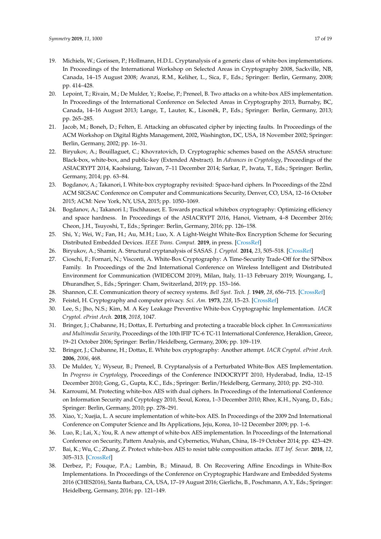- <span id="page-16-16"></span>19. Michiels, W.; Gorissen, P.; Hollmann, H.D.L. Cryptanalysis of a generic class of white-box implementations. In Proceedings of the International Workshop on Selected Areas in Cryptography 2008, Sackville, NB, Canada, 14–15 August 2008; Avanzi, R.M., Keliher, L., Sica, F., Eds.; Springer: Berlin, Germany, 2008; pp. 414–428.
- <span id="page-16-0"></span>20. Lepoint, T.; Rivain, M.; De Mulder, Y.; Roelse, P.; Preneel, B. Two attacks on a white-box AES implementation. In Proceedings of the International Conference on Selected Areas in Cryptography 2013, Burnaby, BC, Canada, 14-16 August 2013; Lange, T., Lauter, K., Lisoněk, P., Eds.; Springer: Berlin, Germany, 2013; pp. 265–285.
- <span id="page-16-1"></span>21. Jacob, M.; Boneh, D.; Felten, E. Attacking an obfuscated cipher by injecting faults. In Proceedings of the ACM Workshop on Digital Rights Management, 2002, Washington, DC, USA, 18 November 2002; Springer: Berlin, Germany, 2002; pp. 16–31.
- <span id="page-16-2"></span>22. Biryukov, A.; Bouillaguet, C.; Khovratovich, D. Cryptographic schemes based on the ASASA structure: Black-box, white-box, and public-key (Extended Abstract). In *Advances in Cryptology*, Proceedings of the ASIACRYPT 2014, Kaohsiung, Taiwan, 7–11 December 2014; Sarkar, P., Iwata, T., Eds.; Springer: Berlin, Germany, 2014; pp. 63–84.
- <span id="page-16-3"></span>23. Bogdanov, A.; Takanori, I. White-box cryptography revisited: Space-hard ciphers. In Proceedings of the 22nd ACM SIGSAC Conference on Computer and Communications Security, Denver, CO, USA, 12–16 October 2015; ACM: New York, NY, USA, 2015; pp. 1050–1069.
- <span id="page-16-4"></span>24. Bogdanov, A.; Takanori I.; Tischhauser, E. Towards practical whitebox cryptography: Optimizing efficiency and space hardness. In Proceedings of the ASIACRYPT 2016, Hanoi, Vietnam, 4–8 December 2016; Cheon, J.H., Tsuyoshi, T., Eds.; Springer: Berlin, Germany, 2016; pp. 126–158.
- <span id="page-16-5"></span>25. Shi, Y.; Wei, W.; Fan, H.; Au, M.H.; Luo, X. A Light-Weight White-Box Encryption Scheme for Securing Distributed Embedded Devices. *IEEE Trans. Comput.* **2019**, in press. [\[CrossRef\]](http://dx.doi.org/10.1109/TC.2019.2907847)
- <span id="page-16-6"></span>26. Biryukov, A.; Shamir, A. Structural cryptanalysis of SASAS. *J. Cryptol.* **2014**, *23*, 505–518. [\[CrossRef\]](http://dx.doi.org/10.1007/s00145-010-9062-1)
- <span id="page-16-7"></span>27. Cioschi, F.; Fornari, N.; Visconti, A. White-Box Cryptography: A Time-Security Trade-Off for the SPNbox Family. In Proceedings of the 2nd International Conference on Wireless Intelligent and Distributed Environment for Communication (WIDECOM 2019), Milan, Italy, 11–13 February 2019; Woungang, I., Dhurandher, S., Eds.; Springer: Cham, Switzerland, 2019; pp. 153–166.
- <span id="page-16-8"></span>28. Shannon, C.E. Communication theory of secrecy systems. *Bell Syst. Tech. J.* **1949**, *28*, 656–715. [\[CrossRef\]](http://dx.doi.org/10.1002/j.1538-7305.1949.tb00928.x)
- <span id="page-16-9"></span>29. Feistel, H. Cryptography and computer privacy. *Sci. Am.* **1973**, *228*, 15–23. [\[CrossRef\]](http://dx.doi.org/10.1038/scientificamerican0573-15)
- <span id="page-16-10"></span>30. Lee, S.; Jho, N.S.; Kim, M. A Key Leakage Preventive White-box Cryptographic Implementation. *IACR Cryptol. ePrint Arch.* **2018**, *2018*, 1047.
- <span id="page-16-11"></span>31. Bringer, J.; Chabanne, H.; Dottax, E. Perturbing and protecting a traceable block cipher. In *Communications and Multimedia Security*, Proceedings of the 10th IFIP TC-6 TC-11 International Conference, Heraklion, Greece, 19–21 October 2006; Springer: Berlin/Heidelberg, Germany, 2006; pp. 109–119.
- <span id="page-16-12"></span>32. Bringer, J.; Chabanne, H.; Dottax, E. White box cryptography: Another attempt. *IACR Cryptol. ePrint Arch.* **2006**, *2006*, 468.
- <span id="page-16-13"></span>33. De Mulder, Y.; Wyseur, B.; Preneel, B. Cryptanalysis of a Perturbated White-Box AES Implementation. In *Progress in Cryptology*, Proceedings of the Conference INDOCRYPT 2010, Hyderabad, India, 12–15 December 2010; Gong, G., Gupta, K.C., Eds.; Springer: Berlin/Heidelberg, Germany, 2010; pp. 292–310.
- <span id="page-16-14"></span>34. Karroumi, M. Protecting white-box AES with dual ciphers. In Proceedings of the International Conference on Information Security and Cryptology 2010, Seoul, Korea, 1–3 December 2010; Rhee, K.H., Nyang, D., Eds.; Springer: Berlin, Germany, 2010; pp. 278–291.
- <span id="page-16-15"></span>35. Xiao, Y.; Xuejia, L. A secure implementation of white-box AES. In Proceedings of the 2009 2nd International Conference on Computer Science and Its Applications, Jeju, Korea, 10–12 December 2009; pp. 1–6.
- <span id="page-16-17"></span>36. Luo, R.; Lai, X.; You, R. A new attempt of white-box AES implementation. In Proceedings of the International Conference on Security, Pattern Analysis, and Cybernetics, Wuhan, China, 18–19 October 2014; pp. 423–429.
- <span id="page-16-18"></span>37. Bai, K.; Wu, C.; Zhang, Z. Protect white-box AES to resist table composition attacks. *IET Inf. Secur.* **2018**, *12*, 305–313. [\[CrossRef\]](http://dx.doi.org/10.1049/iet-ifs.2017.0046)
- <span id="page-16-19"></span>38. Derbez, P.; Fouque, P.A.; Lambin, B.; Minaud, B. On Recovering Affine Encodings in White-Box Implementations. In Proceedings of the Conference on Cryptographic Hardware and Embedded Systems 2016 (CHES2016), Santa Barbara, CA, USA, 17–19 August 2016; Gierlichs, B., Poschmann, A.Y., Eds.; Springer: Heidelberg, Germany, 2016; pp. 121–149.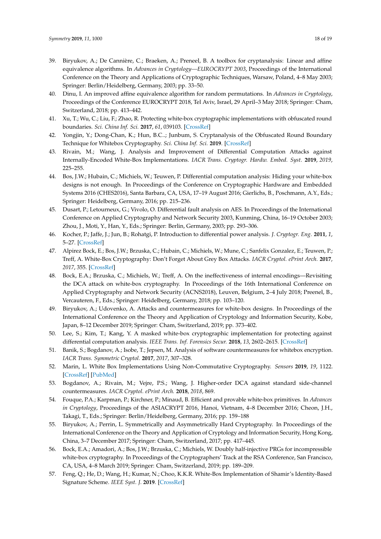- <span id="page-17-0"></span>39. Biryukov, A.; De Cannière, C.; Braeken, A.; Preneel, B. A toolbox for cryptanalysis: Linear and affine equivalence algorithms. In *Advances in Cryptology—EUROCRYPT 2003*, Proceedings of the International Conference on the Theory and Applications of Cryptographic Techniques, Warsaw, Poland, 4–8 May 2003; Springer: Berlin/Heidelberg, Germany, 2003; pp. 33–50.
- <span id="page-17-1"></span>40. Dinu, I. An improved affine equivalence algorithm for random permutations. In *Advances in Cryptology*, Proceedings of the Conference EUROCRYPT 2018, Tel Aviv, Israel, 29 April–3 May 2018; Springer: Cham, Switzerland, 2018; pp. 413–442.
- <span id="page-17-2"></span>41. Xu, T.; Wu, C.; Liu, F.; Zhao, R. Protecting white-box cryptographic implementations with obfuscated round boundaries. *Sci. China Inf. Sci.* **2017**, *61*, 039103. [\[CrossRef\]](http://dx.doi.org/10.1007/s11432-016-9171-6)
- <span id="page-17-3"></span>42. Yongjin, Y.; Dong-Chan, K.; Hun, B.C..; Junbum, S. Cryptanalysis of the Obfuscated Round Boundary Technique for Whitebox Cryptography. *Sci. China Inf. Sci.* **2019**. [\[CrossRef\]](http://dx.doi.org/10.1007/s11432-019-9883-9)
- <span id="page-17-4"></span>43. Rivain, M.; Wang, J. Analysis and Improvement of Differential Computation Attacks against Internally-Encoded White-Box Implementations. *IACR Trans. Cryptogr. Hardw. Embed. Syst.* **2019**, *2019*, 225–255.
- <span id="page-17-5"></span>44. Bos, J.W.; Hubain, C.; Michiels, W.; Teuwen, P. Differential computation analysis: Hiding your white-box designs is not enough. In Proceedings of the Conference on Cryptographic Hardware and Embedded Systems 2016 (CHES2016), Santa Barbara, CA, USA, 17–19 August 2016; Gierlichs, B., Poschmann, A.Y., Eds.; Springer: Heidelberg, Germany, 2016; pp. 215–236.
- <span id="page-17-6"></span>45. Dusart, P.; Letourneux, G.; Vivolo, O. Differential fault analysis on AES. In Proceedings of the International Conference on Applied Cryptography and Network Security 2003, Kunming, China, 16–19 October 2003; Zhou, J., Moti, Y., Han, Y., Eds.; Springer: Berlin, Germany, 2003; pp. 293–306.
- <span id="page-17-7"></span>46. Kocher, P.; Jaffe, J.; Jun, B.; Rohatgi, P. Introduction to differential power analysis. *J. Cryptogr. Eng.* **2011**, *1*, 5–27. [\[CrossRef\]](http://dx.doi.org/10.1007/s13389-011-0006-y)
- <span id="page-17-8"></span>47. Alpirez Bock, E.; Bos, J.W.; Brzuska, C.; Hubain, C.; Michiels, W.; Mune, C.; Sanfelix Gonzalez, E.; Teuwen, P.; Treff, A. White-Box Cryptography: Don't Forget About Grey Box Attacks. *IACR Cryptol. ePrint Arch.* **2017**, *2017*, 355. [\[CrossRef\]](http://dx.doi.org/10.1007/s00145-019-09315-1)
- <span id="page-17-9"></span>48. Bock, E.A.; Brzuska, C.; Michiels, W.; Treff, A. On the ineffectiveness of internal encodings—Revisiting the DCA attack on white-box cryptography. In Proceedings of the 16th International Conference on Applied Cryptography and Network Security (ACNS2018), Leuven, Belgium, 2–4 July 2018; Preenel, B., Vercauteren, F., Eds.; Springer: Heidelberg, Germany, 2018; pp. 103–120.
- <span id="page-17-10"></span>49. Biryukov, A.; Udovenko, A. Attacks and countermeasures for white-box designs. In Proceedings of the International Conference on the Theory and Application of Cryptology and Information Security, Kobe, Japan, 8–12 December 2019; Springer: Cham, Switzerland, 2019; pp. 373–402.
- <span id="page-17-11"></span>50. Lee, S.; Kim, T.; Kang, Y. A masked white-box cryptographic implementation for protecting against differential computation analysis. *IEEE Trans. Inf. Forensics Secur.* **2018**, *13*, 2602–2615. [\[CrossRef\]](http://dx.doi.org/10.1109/TIFS.2018.2825939)
- <span id="page-17-12"></span>51. Banik, S.; Bogdanov, A.; Isobe, T.; Jepsen, M. Analysis of software countermeasures for whitebox encryption. *IACR Trans. Symmetric Cryptol.* **2017**, *2017*, 307–328.
- <span id="page-17-13"></span>52. Marin, L. White Box Implementations Using Non-Commutative Cryptography. *Sensors* **2019**, *19*, 1122. [\[CrossRef\]](http://dx.doi.org/10.3390/s19051122) [\[PubMed\]](http://www.ncbi.nlm.nih.gov/pubmed/30841626)
- <span id="page-17-14"></span>53. Bogdanov, A.; Rivain, M.; Vejre, P.S.; Wang, J. Higher-order DCA against standard side-channel countermeasures. *IACR Cryptol. ePrint Arch.* **2018**, *2018*, 869.
- <span id="page-17-15"></span>54. Fouque, P.A.; Karpman, P.; Kirchner, P.; Minaud, B. Efficient and provable white-box primitives. In *Advances in Cryptology*, Proceedings of the ASIACRYPT 2016, Hanoi, Vietnam, 4–8 December 2016; Cheon, J.H., Takagi, T., Eds.; Springer: Berlin/Heidelberg, Germany, 2016; pp. 159–188
- <span id="page-17-17"></span>55. Biryukov, A.; Perrin, L. Symmetrically and Asymmetrically Hard Cryptography. In Proceedings of the International Conference on the Theory and Application of Cryptology and Information Security, Hong Kong, China, 3–7 December 2017; Springer: Cham, Switzerland, 2017; pp. 417–445.
- <span id="page-17-16"></span>56. Bock, E.A.; Amadori, A.; Bos, J.W.; Brzuska, C.; Michiels, W. Doubly half-injective PRGs for incompressible white-box cryptography. In Proceedings of the Cryptographers' Track at the RSA Conference, San Francisco, CA, USA, 4–8 March 2019; Springer: Cham, Switzerland, 2019; pp. 189–209.
- <span id="page-17-18"></span>57. Feng, Q.; He, D.; Wang, H.; Kumar, N.; Choo, K.K.R. White-Box Implementation of Shamir's Identity-Based Signature Scheme. *IEEE Syst. J.* **2019**. [\[CrossRef\]](http://dx.doi.org/10.1109/JSYST.2019.2910934)